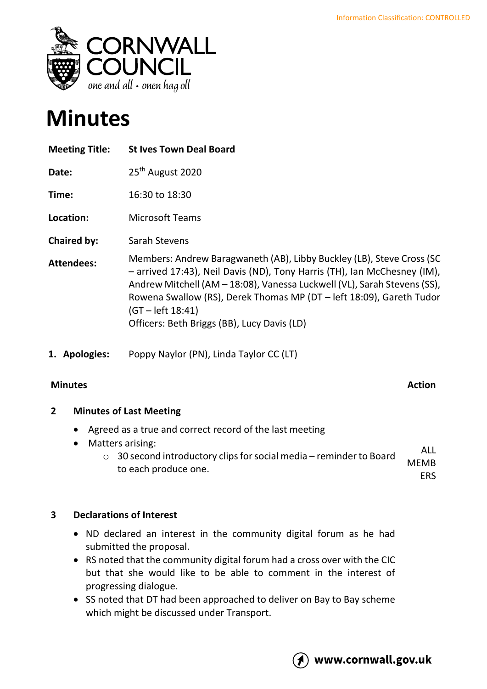

# **Minutes**

| <b>Meeting Title:</b> | <b>St Ives Town Deal Board</b>                                                                                                                                                                                                                                                                                                                                            |
|-----------------------|---------------------------------------------------------------------------------------------------------------------------------------------------------------------------------------------------------------------------------------------------------------------------------------------------------------------------------------------------------------------------|
| Date:                 | 25 <sup>th</sup> August 2020                                                                                                                                                                                                                                                                                                                                              |
| Time:                 | 16:30 to 18:30                                                                                                                                                                                                                                                                                                                                                            |
| Location:             | <b>Microsoft Teams</b>                                                                                                                                                                                                                                                                                                                                                    |
| Chaired by:           | Sarah Stevens                                                                                                                                                                                                                                                                                                                                                             |
| <b>Attendees:</b>     | Members: Andrew Baragwaneth (AB), Libby Buckley (LB), Steve Cross (SC<br>- arrived 17:43), Neil Davis (ND), Tony Harris (TH), Ian McChesney (IM),<br>Andrew Mitchell (AM – 18:08), Vanessa Luckwell (VL), Sarah Stevens (SS),<br>Rowena Swallow (RS), Derek Thomas MP (DT - left 18:09), Gareth Tudor<br>(GT – left 18:41)<br>Officers: Beth Briggs (BB), Lucy Davis (LD) |
| 1. Apologies:         | Poppy Naylor (PN), Linda Taylor CC (LT)                                                                                                                                                                                                                                                                                                                                   |

# **Minutes Action**

# **2 Minutes of Last Meeting**

- Agreed as a true and correct record of the last meeting
- Matters arising:
	- o 30 second introductory clips for social media reminder to Board to each produce one. ALL MEMB ERS

### **3 Declarations of Interest**

- ND declared an interest in the community digital forum as he had submitted the proposal.
- RS noted that the community digital forum had a cross over with the CIC but that she would like to be able to comment in the interest of progressing dialogue.
- SS noted that DT had been approached to deliver on Bay to Bay scheme which might be discussed under Transport.

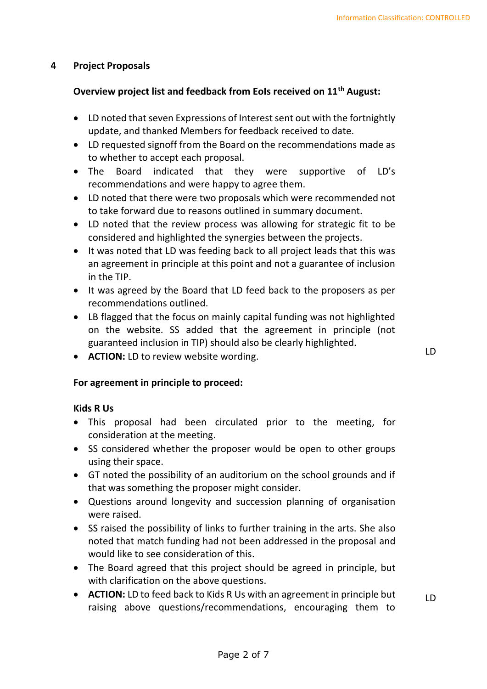#### **4 Project Proposals**

#### **Overview project list and feedback from EoIs received on 11th August:**

- LD noted that seven Expressions of Interest sent out with the fortnightly update, and thanked Members for feedback received to date.
- LD requested signoff from the Board on the recommendations made as to whether to accept each proposal.
- The Board indicated that they were supportive of LD's recommendations and were happy to agree them.
- LD noted that there were two proposals which were recommended not to take forward due to reasons outlined in summary document.
- LD noted that the review process was allowing for strategic fit to be considered and highlighted the synergies between the projects.
- It was noted that LD was feeding back to all project leads that this was an agreement in principle at this point and not a guarantee of inclusion in the TIP.
- It was agreed by the Board that LD feed back to the proposers as per recommendations outlined.
- LB flagged that the focus on mainly capital funding was not highlighted on the website. SS added that the agreement in principle (not guaranteed inclusion in TIP) should also be clearly highlighted.
- **ACTION:** LD to review website wording.

#### **For agreement in principle to proceed:**

#### **Kids R Us**

- This proposal had been circulated prior to the meeting, for consideration at the meeting.
- SS considered whether the proposer would be open to other groups using their space.
- GT noted the possibility of an auditorium on the school grounds and if that was something the proposer might consider.
- Questions around longevity and succession planning of organisation were raised.
- SS raised the possibility of links to further training in the arts. She also noted that match funding had not been addressed in the proposal and would like to see consideration of this.
- The Board agreed that this project should be agreed in principle, but with clarification on the above questions.
- **ACTION:** LD to feed back to Kids R Us with an agreement in principle but raising above questions/recommendations, encouraging them to

LD

LD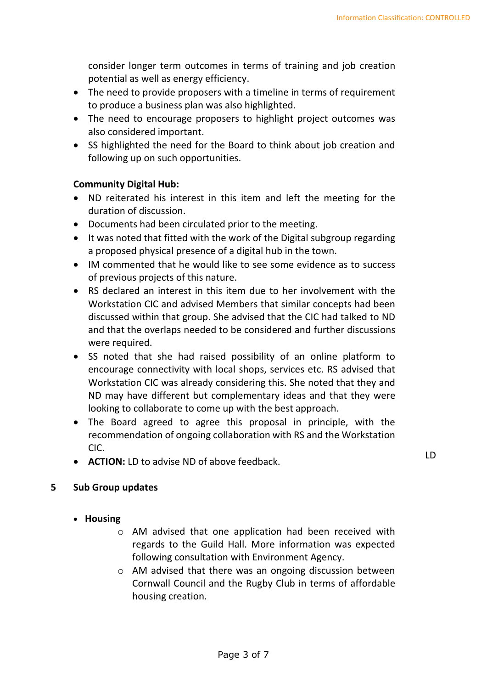consider longer term outcomes in terms of training and job creation potential as well as energy efficiency.

- The need to provide proposers with a timeline in terms of requirement to produce a business plan was also highlighted.
- The need to encourage proposers to highlight project outcomes was also considered important.
- SS highlighted the need for the Board to think about job creation and following up on such opportunities.

#### **Community Digital Hub:**

- ND reiterated his interest in this item and left the meeting for the duration of discussion.
- Documents had been circulated prior to the meeting.
- It was noted that fitted with the work of the Digital subgroup regarding a proposed physical presence of a digital hub in the town.
- IM commented that he would like to see some evidence as to success of previous projects of this nature.
- RS declared an interest in this item due to her involvement with the Workstation CIC and advised Members that similar concepts had been discussed within that group. She advised that the CIC had talked to ND and that the overlaps needed to be considered and further discussions were required.
- SS noted that she had raised possibility of an online platform to encourage connectivity with local shops, services etc. RS advised that Workstation CIC was already considering this. She noted that they and ND may have different but complementary ideas and that they were looking to collaborate to come up with the best approach.
- The Board agreed to agree this proposal in principle, with the recommendation of ongoing collaboration with RS and the Workstation CIC.
- **ACTION:** LD to advise ND of above feedback. LD **LD**

#### **5 Sub Group updates**

#### • **Housing**

- o AM advised that one application had been received with regards to the Guild Hall. More information was expected following consultation with Environment Agency.
- o AM advised that there was an ongoing discussion between Cornwall Council and the Rugby Club in terms of affordable housing creation.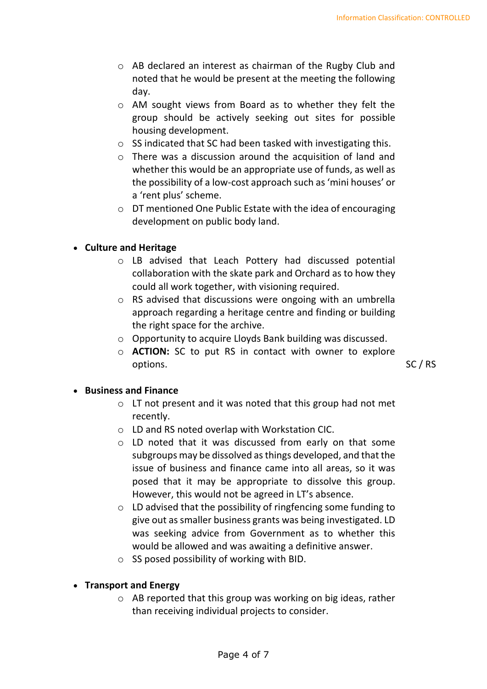- o AB declared an interest as chairman of the Rugby Club and noted that he would be present at the meeting the following day.
- o AM sought views from Board as to whether they felt the group should be actively seeking out sites for possible housing development.
- o SS indicated that SC had been tasked with investigating this.
- o There was a discussion around the acquisition of land and whether this would be an appropriate use of funds, as well as the possibility of a low-cost approach such as 'mini houses' or a 'rent plus' scheme.
- o DT mentioned One Public Estate with the idea of encouraging development on public body land.

#### • **Culture and Heritage**

- o LB advised that Leach Pottery had discussed potential collaboration with the skate park and Orchard as to how they could all work together, with visioning required.
- o RS advised that discussions were ongoing with an umbrella approach regarding a heritage centre and finding or building the right space for the archive.
- o Opportunity to acquire Lloyds Bank building was discussed.
- o **ACTION:** SC to put RS in contact with owner to explore options.

SC / RS

#### • **Business and Finance**

- o LT not present and it was noted that this group had not met recently.
- o LD and RS noted overlap with Workstation CIC.
- o LD noted that it was discussed from early on that some subgroups may be dissolved as things developed, and that the issue of business and finance came into all areas, so it was posed that it may be appropriate to dissolve this group. However, this would not be agreed in LT's absence.
- o LD advised that the possibility of ringfencing some funding to give out as smaller business grants was being investigated. LD was seeking advice from Government as to whether this would be allowed and was awaiting a definitive answer.
- $\circ$  SS posed possibility of working with BID.

#### • **Transport and Energy**

o AB reported that this group was working on big ideas, rather than receiving individual projects to consider.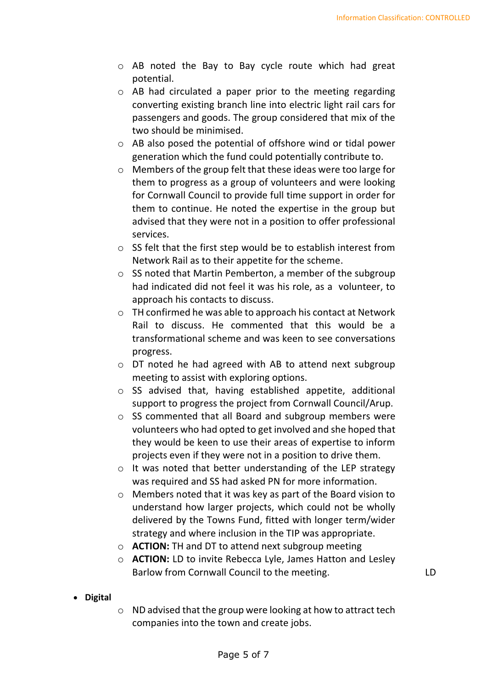- o AB noted the Bay to Bay cycle route which had great potential.
- o AB had circulated a paper prior to the meeting regarding converting existing branch line into electric light rail cars for passengers and goods. The group considered that mix of the two should be minimised.
- o AB also posed the potential of offshore wind or tidal power generation which the fund could potentially contribute to.
- o Members of the group felt that these ideas were too large for them to progress as a group of volunteers and were looking for Cornwall Council to provide full time support in order for them to continue. He noted the expertise in the group but advised that they were not in a position to offer professional services.
- o SS felt that the first step would be to establish interest from Network Rail as to their appetite for the scheme.
- o SS noted that Martin Pemberton, a member of the subgroup had indicated did not feel it was his role, as a volunteer, to approach his contacts to discuss.
- o TH confirmed he was able to approach his contact at Network Rail to discuss. He commented that this would be a transformational scheme and was keen to see conversations progress.
- o DT noted he had agreed with AB to attend next subgroup meeting to assist with exploring options.
- o SS advised that, having established appetite, additional support to progress the project from Cornwall Council/Arup.
- o SS commented that all Board and subgroup members were volunteers who had opted to get involved and she hoped that they would be keen to use their areas of expertise to inform projects even if they were not in a position to drive them.
- o It was noted that better understanding of the LEP strategy was required and SS had asked PN for more information.
- o Members noted that it was key as part of the Board vision to understand how larger projects, which could not be wholly delivered by the Towns Fund, fitted with longer term/wider strategy and where inclusion in the TIP was appropriate.
- o **ACTION:** TH and DT to attend next subgroup meeting
- o **ACTION:** LD to invite Rebecca Lyle, James Hatton and Lesley Barlow from Cornwall Council to the meeting.
- LD

- **Digital**
- $\circ$  ND advised that the group were looking at how to attract tech companies into the town and create jobs.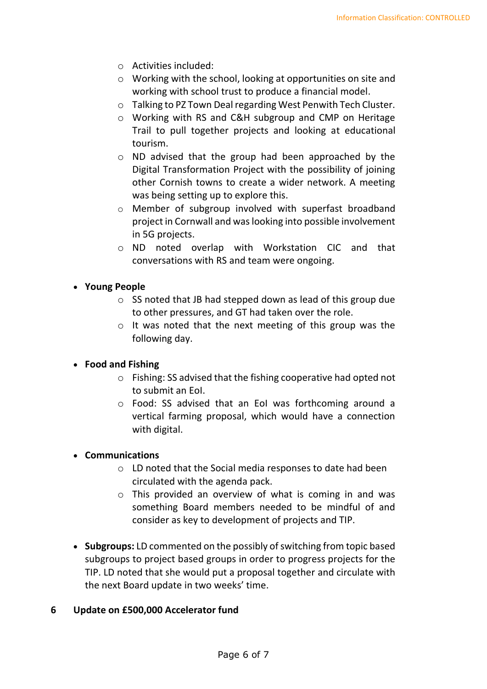- o Activities included:
- o Working with the school, looking at opportunities on site and working with school trust to produce a financial model.
- o Talking to PZ Town Deal regarding West Penwith Tech Cluster.
- o Working with RS and C&H subgroup and CMP on Heritage Trail to pull together projects and looking at educational tourism.
- o ND advised that the group had been approached by the Digital Transformation Project with the possibility of joining other Cornish towns to create a wider network. A meeting was being setting up to explore this.
- o Member of subgroup involved with superfast broadband project in Cornwall and was looking into possible involvement in 5G projects.
- o ND noted overlap with Workstation CIC and that conversations with RS and team were ongoing.

#### • **Young People**

- o SS noted that JB had stepped down as lead of this group due to other pressures, and GT had taken over the role.
- o It was noted that the next meeting of this group was the following day.

#### • **Food and Fishing**

- o Fishing: SS advised that the fishing cooperative had opted not to submit an EoI.
- o Food: SS advised that an EoI was forthcoming around a vertical farming proposal, which would have a connection with digital.

#### • **Communications**

- o LD noted that the Social media responses to date had been circulated with the agenda pack.
- o This provided an overview of what is coming in and was something Board members needed to be mindful of and consider as key to development of projects and TIP.
- **Subgroups:** LD commented on the possibly of switching from topic based subgroups to project based groups in order to progress projects for the TIP. LD noted that she would put a proposal together and circulate with the next Board update in two weeks' time.

#### **6 Update on £500,000 Accelerator fund**